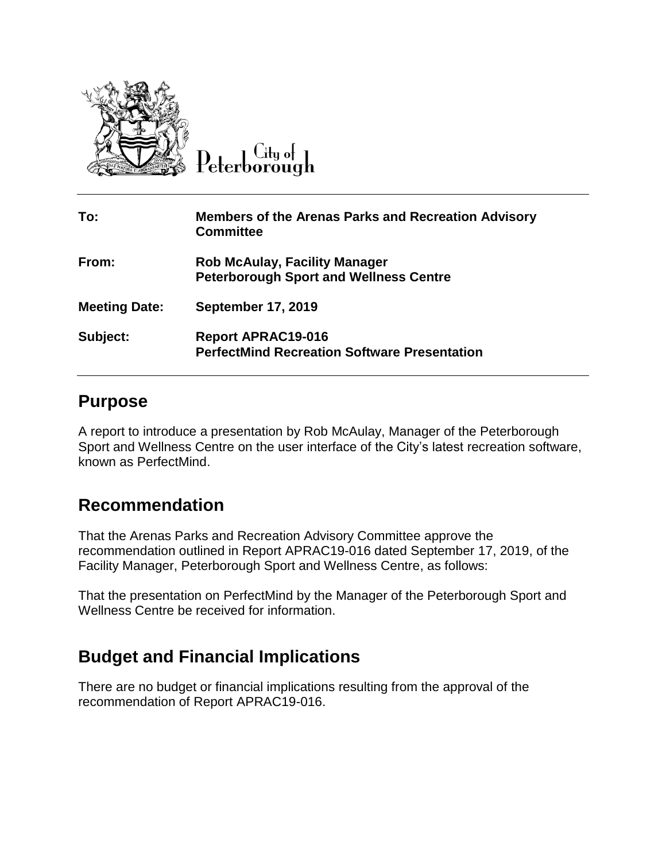

 $\overline{C}$ ity of Peterborough

| To:                  | <b>Members of the Arenas Parks and Recreation Advisory</b><br><b>Committee</b>        |
|----------------------|---------------------------------------------------------------------------------------|
| From:                | <b>Rob McAulay, Facility Manager</b><br><b>Peterborough Sport and Wellness Centre</b> |
| <b>Meeting Date:</b> | <b>September 17, 2019</b>                                                             |
| Subject:             | <b>Report APRAC19-016</b><br><b>PerfectMind Recreation Software Presentation</b>      |

## **Purpose**

A report to introduce a presentation by Rob McAulay, Manager of the Peterborough Sport and Wellness Centre on the user interface of the City's latest recreation software, known as PerfectMind.

## **Recommendation**

That the Arenas Parks and Recreation Advisory Committee approve the recommendation outlined in Report APRAC19-016 dated September 17, 2019, of the Facility Manager, Peterborough Sport and Wellness Centre, as follows:

That the presentation on PerfectMind by the Manager of the Peterborough Sport and Wellness Centre be received for information.

## **Budget and Financial Implications**

There are no budget or financial implications resulting from the approval of the recommendation of Report APRAC19-016.